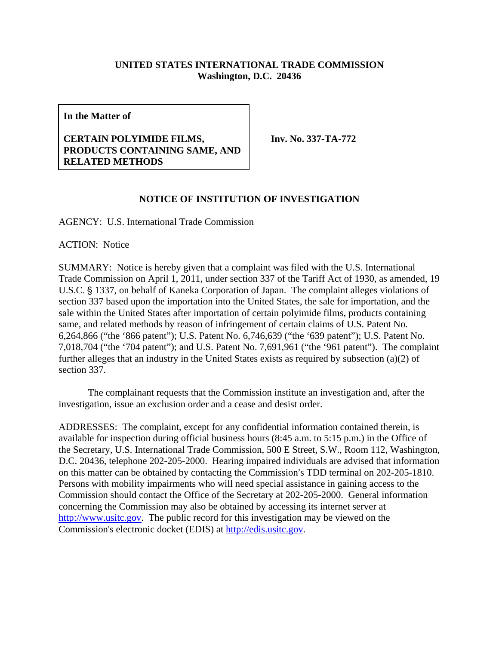## **UNITED STATES INTERNATIONAL TRADE COMMISSION Washington, D.C. 20436**

**In the Matter of** 

## **CERTAIN POLYIMIDE FILMS, PRODUCTS CONTAINING SAME, AND RELATED METHODS**

**Inv. No. 337-TA-772** 

## **NOTICE OF INSTITUTION OF INVESTIGATION**

AGENCY: U.S. International Trade Commission

ACTION: Notice

SUMMARY: Notice is hereby given that a complaint was filed with the U.S. International Trade Commission on April 1, 2011, under section 337 of the Tariff Act of 1930, as amended, 19 U.S.C. § 1337, on behalf of Kaneka Corporation of Japan. The complaint alleges violations of section 337 based upon the importation into the United States, the sale for importation, and the sale within the United States after importation of certain polyimide films, products containing same, and related methods by reason of infringement of certain claims of U.S. Patent No. 6,264,866 ("the '866 patent"); U.S. Patent No. 6,746,639 ("the '639 patent"); U.S. Patent No. 7,018,704 ("the '704 patent"); and U.S. Patent No. 7,691,961 ("the '961 patent"). The complaint further alleges that an industry in the United States exists as required by subsection (a)(2) of section 337.

The complainant requests that the Commission institute an investigation and, after the investigation, issue an exclusion order and a cease and desist order.

ADDRESSES: The complaint, except for any confidential information contained therein, is available for inspection during official business hours (8:45 a.m. to 5:15 p.m.) in the Office of the Secretary, U.S. International Trade Commission, 500 E Street, S.W., Room 112, Washington, D.C. 20436, telephone 202-205-2000. Hearing impaired individuals are advised that information on this matter can be obtained by contacting the Commission's TDD terminal on 202-205-1810. Persons with mobility impairments who will need special assistance in gaining access to the Commission should contact the Office of the Secretary at 202-205-2000. General information concerning the Commission may also be obtained by accessing its internet server at http://www.usitc.gov. The public record for this investigation may be viewed on the Commission's electronic docket (EDIS) at http://edis.usitc.gov.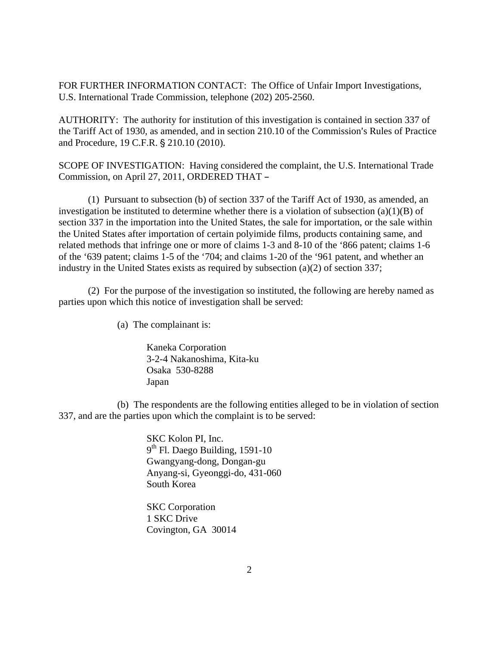FOR FURTHER INFORMATION CONTACT: The Office of Unfair Import Investigations, U.S. International Trade Commission, telephone (202) 205-2560.

AUTHORITY: The authority for institution of this investigation is contained in section 337 of the Tariff Act of 1930, as amended, and in section 210.10 of the Commission's Rules of Practice and Procedure, 19 C.F.R. § 210.10 (2010).

SCOPE OF INVESTIGATION: Having considered the complaint, the U.S. International Trade Commission, on April 27, 2011, ORDERED THAT -

(1) Pursuant to subsection (b) of section 337 of the Tariff Act of 1930, as amended, an investigation be instituted to determine whether there is a violation of subsection  $(a)(1)(B)$  of section 337 in the importation into the United States, the sale for importation, or the sale within the United States after importation of certain polyimide films, products containing same, and related methods that infringe one or more of claims 1-3 and 8-10 of the '866 patent; claims 1-6 of the '639 patent; claims 1-5 of the '704; and claims 1-20 of the '961 patent, and whether an industry in the United States exists as required by subsection (a)(2) of section 337;

(2) For the purpose of the investigation so instituted, the following are hereby named as parties upon which this notice of investigation shall be served:

(a) The complainant is:

Kaneka Corporation 3-2-4 Nakanoshima, Kita-ku Osaka 530-8288 Japan

(b) The respondents are the following entities alleged to be in violation of section 337, and are the parties upon which the complaint is to be served:

> SKC Kolon PI, Inc.  $9<sup>th</sup>$  Fl. Daego Building, 1591-10 Gwangyang-dong, Dongan-gu Anyang-si, Gyeonggi-do, 431-060 South Korea

 SKC Corporation 1 SKC Drive Covington, GA 30014